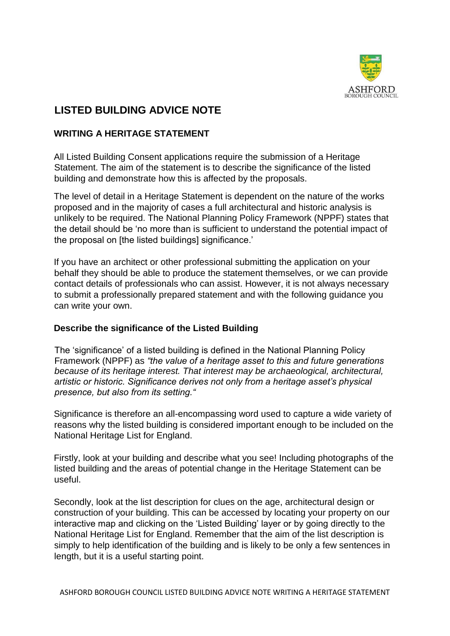

# **LISTED BUILDING ADVICE NOTE**

## **WRITING A HERITAGE STATEMENT**

All Listed Building Consent applications require the submission of a Heritage Statement. The aim of the statement is to describe the significance of the listed building and demonstrate how this is affected by the proposals.

The level of detail in a Heritage Statement is dependent on the nature of the works proposed and in the majority of cases a full architectural and historic analysis is unlikely to be required. The National Planning Policy Framework (NPPF) states that the detail should be 'no more than is sufficient to understand the potential impact of the proposal on [the listed buildings] significance.'

If you have an architect or other professional submitting the application on your behalf they should be able to produce the statement themselves, or we can provide contact details of professionals who can assist. However, it is not always necessary to submit a professionally prepared statement and with the following guidance you can write your own.

#### **Describe the significance of the Listed Building**

The 'significance' of a listed building is defined in the National Planning Policy Framework (NPPF) as *"the value of a heritage asset to this and future generations because of its heritage interest. That interest may be archaeological, architectural, artistic or historic. Significance derives not only from a heritage asset's physical presence, but also from its setting."* 

Significance is therefore an all-encompassing word used to capture a wide variety of reasons why the listed building is considered important enough to be included on the National Heritage List for England.

Firstly, look at your building and describe what you see! Including photographs of the listed building and the areas of potential change in the Heritage Statement can be useful.

Secondly, look at the list description for clues on the age, architectural design or construction of your building. This can be accessed by locating your property on our interactive map and clicking on the 'Listed Building' layer or by going directly to the National Heritage List for England. Remember that the aim of the list description is simply to help identification of the building and is likely to be only a few sentences in length, but it is a useful starting point.